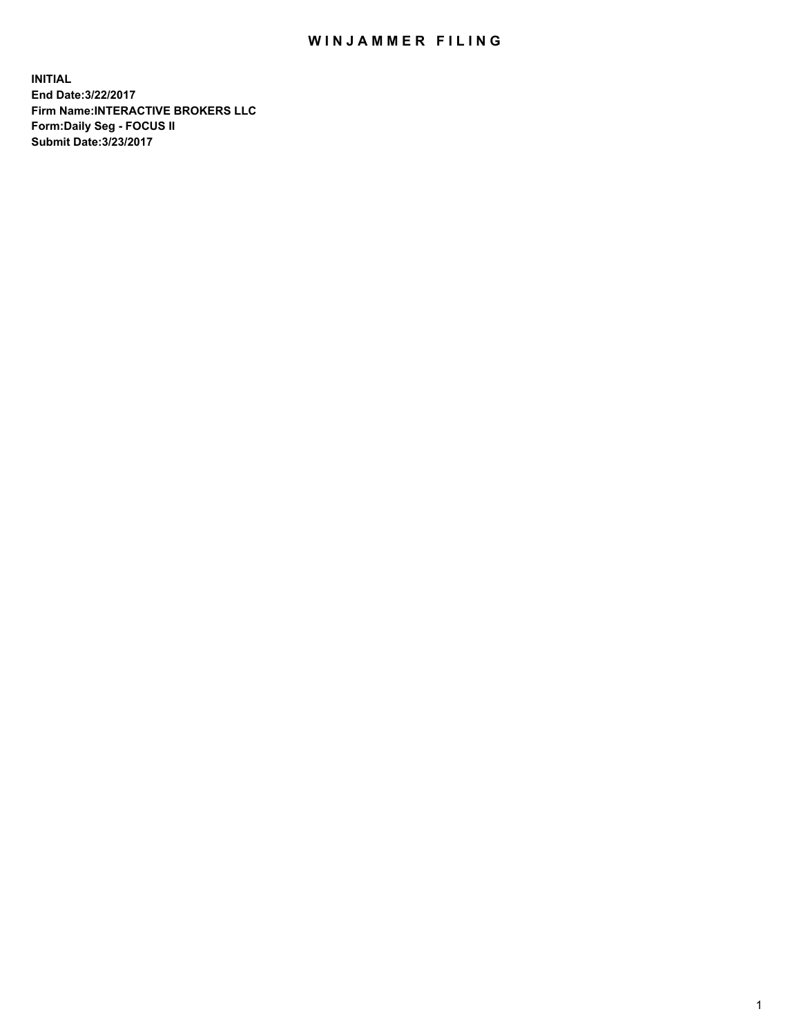## WIN JAMMER FILING

**INITIAL End Date:3/22/2017 Firm Name:INTERACTIVE BROKERS LLC Form:Daily Seg - FOCUS II Submit Date:3/23/2017**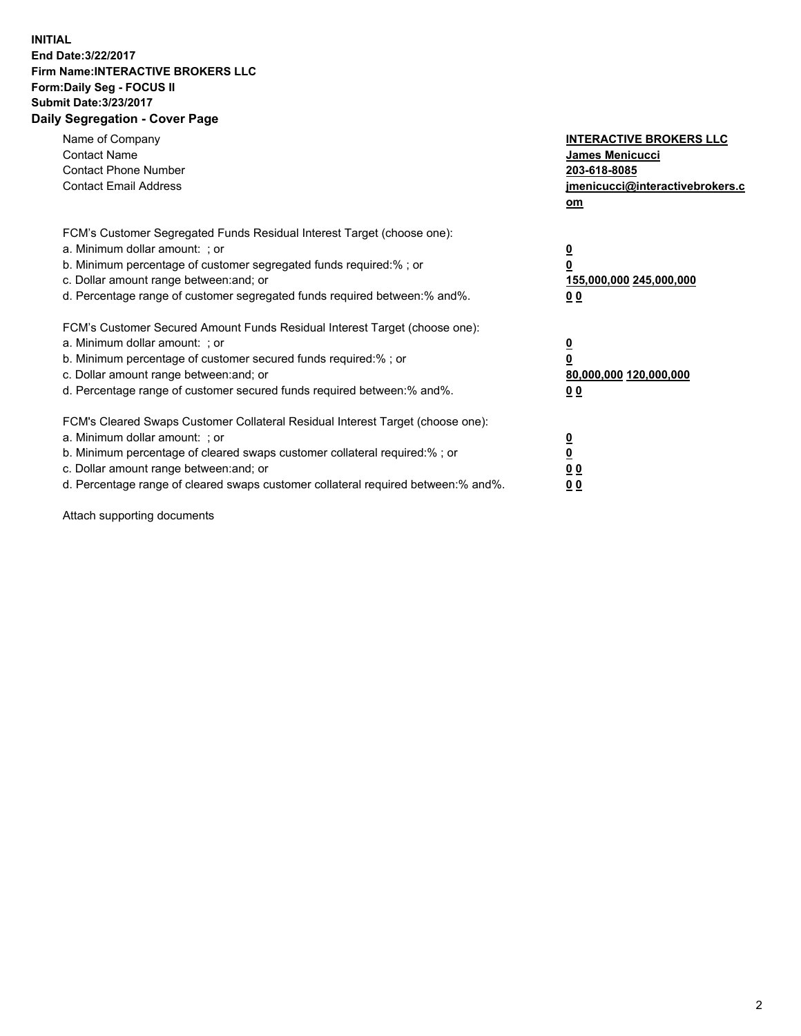## **INITIAL End Date:3/22/2017 Firm Name:INTERACTIVE BROKERS LLC Form:Daily Seg - FOCUS II Submit Date:3/23/2017 Daily Segregation - Cover Page**

| Name of Company<br><b>Contact Name</b><br><b>Contact Phone Number</b><br><b>Contact Email Address</b>                                                                                                                                                                                                                          | <b>INTERACTIVE BROKERS LLC</b><br>James Menicucci<br>203-618-8085<br>jmenicucci@interactivebrokers.c<br>om |
|--------------------------------------------------------------------------------------------------------------------------------------------------------------------------------------------------------------------------------------------------------------------------------------------------------------------------------|------------------------------------------------------------------------------------------------------------|
| FCM's Customer Segregated Funds Residual Interest Target (choose one):<br>a. Minimum dollar amount: ; or<br>b. Minimum percentage of customer segregated funds required:% ; or<br>c. Dollar amount range between: and; or<br>d. Percentage range of customer segregated funds required between:% and%.                         | $\overline{\mathbf{0}}$<br>0<br>155,000,000 245,000,000<br>0 <sub>0</sub>                                  |
| FCM's Customer Secured Amount Funds Residual Interest Target (choose one):<br>a. Minimum dollar amount: ; or<br>b. Minimum percentage of customer secured funds required:%; or<br>c. Dollar amount range between: and; or<br>d. Percentage range of customer secured funds required between: % and %.                          | $\overline{\mathbf{0}}$<br>0<br>80,000,000 120,000,000<br>0 <sub>0</sub>                                   |
| FCM's Cleared Swaps Customer Collateral Residual Interest Target (choose one):<br>a. Minimum dollar amount: ; or<br>b. Minimum percentage of cleared swaps customer collateral required:% ; or<br>c. Dollar amount range between: and; or<br>d. Percentage range of cleared swaps customer collateral required between:% and%. | $\overline{\mathbf{0}}$<br>$\overline{\mathbf{0}}$<br>0 <sub>0</sub><br>0 <sub>0</sub>                     |

Attach supporting documents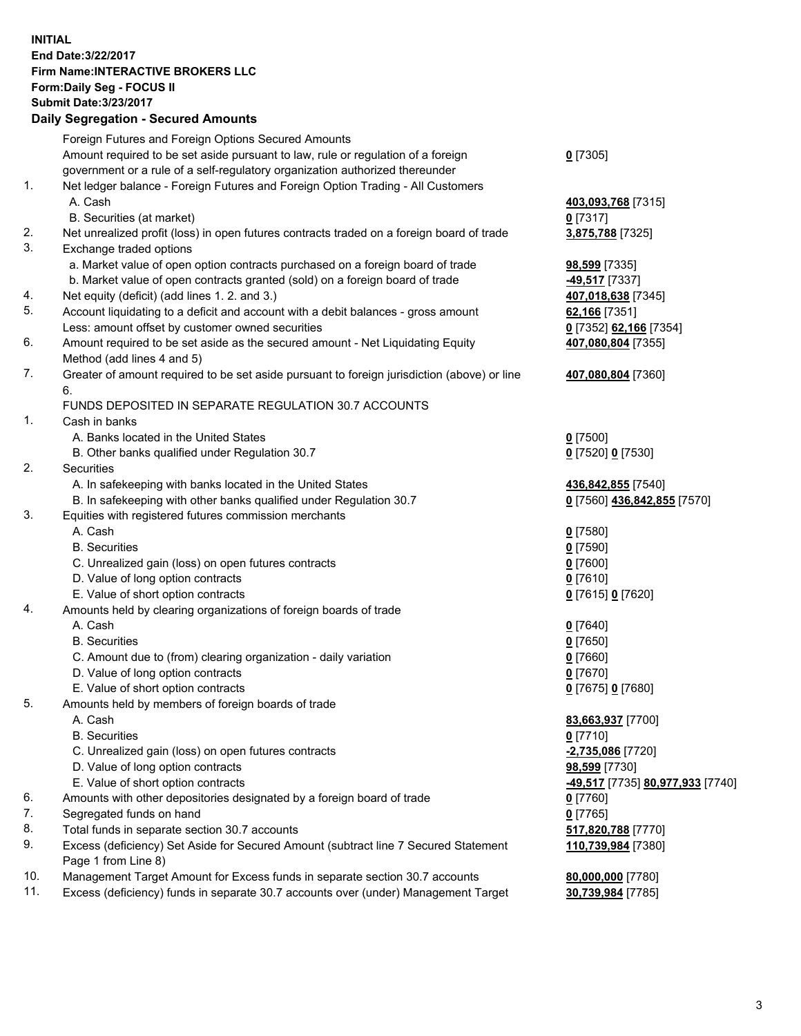## **INITIAL End Date:3/22/2017 Firm Name:INTERACTIVE BROKERS LLC Form:Daily Seg - FOCUS II Submit Date:3/23/2017**

|     | <b>Daily Segregation - Secured Amounts</b>                                                  |                                  |
|-----|---------------------------------------------------------------------------------------------|----------------------------------|
|     | Foreign Futures and Foreign Options Secured Amounts                                         |                                  |
|     | Amount required to be set aside pursuant to law, rule or regulation of a foreign            | $0$ [7305]                       |
|     | government or a rule of a self-regulatory organization authorized thereunder                |                                  |
| 1.  | Net ledger balance - Foreign Futures and Foreign Option Trading - All Customers             |                                  |
|     | A. Cash                                                                                     | 403,093,768 [7315]               |
|     | B. Securities (at market)                                                                   | $0$ [7317]                       |
| 2.  | Net unrealized profit (loss) in open futures contracts traded on a foreign board of trade   | 3,875,788 [7325]                 |
| 3.  | Exchange traded options                                                                     |                                  |
|     | a. Market value of open option contracts purchased on a foreign board of trade              | 98,599 [7335]                    |
|     | b. Market value of open contracts granted (sold) on a foreign board of trade                | <b>-49,517</b> [7337]            |
| 4.  | Net equity (deficit) (add lines 1.2. and 3.)                                                | 407,018,638 [7345]               |
| 5.  | Account liquidating to a deficit and account with a debit balances - gross amount           | 62,166 [7351]                    |
|     | Less: amount offset by customer owned securities                                            | 0 [7352] 62,166 [7354]           |
| 6.  | Amount required to be set aside as the secured amount - Net Liquidating Equity              | 407,080,804 [7355]               |
|     | Method (add lines 4 and 5)                                                                  |                                  |
| 7.  | Greater of amount required to be set aside pursuant to foreign jurisdiction (above) or line | 407,080,804 [7360]               |
|     | 6.                                                                                          |                                  |
|     | FUNDS DEPOSITED IN SEPARATE REGULATION 30.7 ACCOUNTS                                        |                                  |
| 1.  | Cash in banks                                                                               |                                  |
|     | A. Banks located in the United States                                                       | $Q$ [7500]                       |
|     | B. Other banks qualified under Regulation 30.7                                              | 0 [7520] 0 [7530]                |
| 2.  | Securities                                                                                  |                                  |
|     | A. In safekeeping with banks located in the United States                                   | 436,842,855 [7540]               |
|     | B. In safekeeping with other banks qualified under Regulation 30.7                          | 0 [7560] 436,842,855 [7570]      |
| 3.  | Equities with registered futures commission merchants                                       |                                  |
|     | A. Cash                                                                                     | $0$ [7580]                       |
|     | <b>B.</b> Securities                                                                        | $0$ [7590]                       |
|     | C. Unrealized gain (loss) on open futures contracts                                         | $0$ [7600]                       |
|     | D. Value of long option contracts                                                           | $0$ [7610]                       |
|     | E. Value of short option contracts                                                          | 0 [7615] 0 [7620]                |
| 4.  | Amounts held by clearing organizations of foreign boards of trade                           |                                  |
|     | A. Cash                                                                                     | $0$ [7640]                       |
|     | <b>B.</b> Securities                                                                        | $0$ [7650]                       |
|     | C. Amount due to (from) clearing organization - daily variation                             | $0$ [7660]                       |
|     | D. Value of long option contracts                                                           | $0$ [7670]                       |
|     | E. Value of short option contracts                                                          | 0 [7675] 0 [7680]                |
| 5.  | Amounts held by members of foreign boards of trade                                          |                                  |
|     | A. Cash                                                                                     | 83,663,937 [7700]                |
|     | <b>B.</b> Securities                                                                        | $0$ [7710]                       |
|     | C. Unrealized gain (loss) on open futures contracts                                         | -2,735,086 [7720]                |
|     | D. Value of long option contracts                                                           | 98,599 [7730]                    |
|     | E. Value of short option contracts                                                          | -49,517 [7735] 80,977,933 [7740] |
| 6.  | Amounts with other depositories designated by a foreign board of trade                      | $0$ [7760]                       |
| 7.  | Segregated funds on hand                                                                    | $0$ [7765]                       |
| 8.  | Total funds in separate section 30.7 accounts                                               | 517,820,788 [7770]               |
| 9.  | Excess (deficiency) Set Aside for Secured Amount (subtract line 7 Secured Statement         | 110,739,984 [7380]               |
|     | Page 1 from Line 8)                                                                         |                                  |
| 10. | Management Target Amount for Excess funds in separate section 30.7 accounts                 | 80,000,000 [7780]                |
| 11. | Excess (deficiency) funds in separate 30.7 accounts over (under) Management Target          | 30,739,984 [7785]                |
|     |                                                                                             |                                  |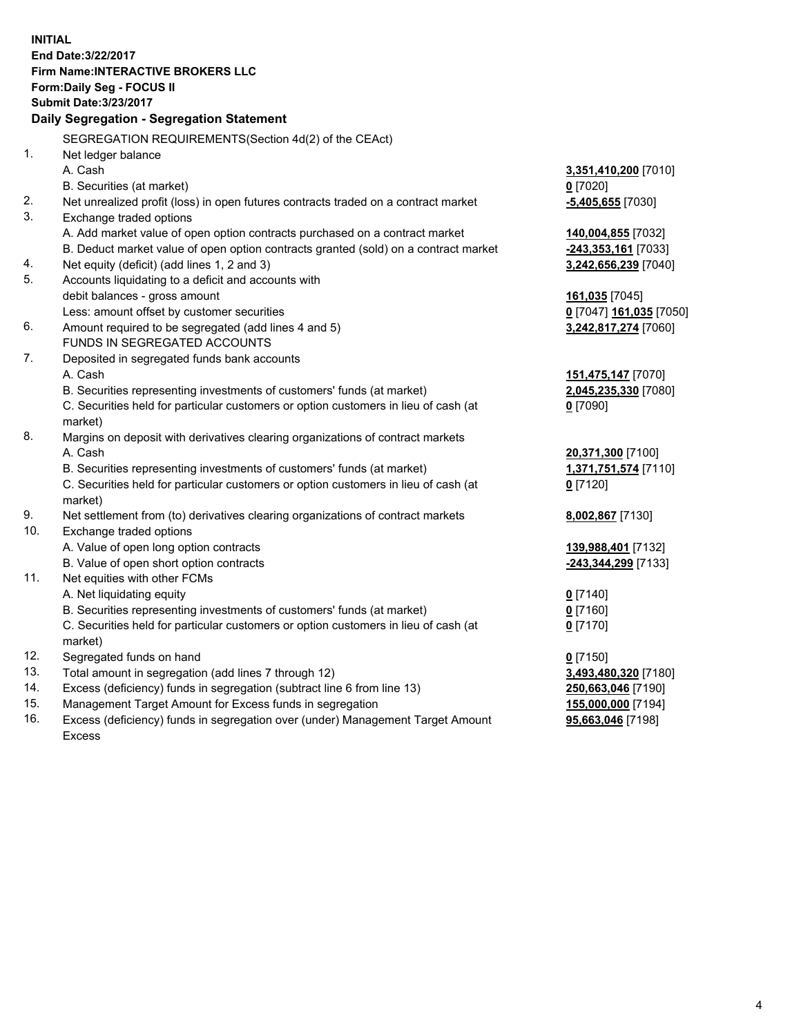**INITIAL End Date:3/22/2017 Firm Name:INTERACTIVE BROKERS LLC Form:Daily Seg - FOCUS II Submit Date:3/23/2017 Daily Segregation - Segregation Statement** SEGREGATION REQUIREMENTS(Section 4d(2) of the CEAct) 1. Net ledger balance A. Cash **3,351,410,200** [7010] B. Securities (at market) **0** [7020] 2. Net unrealized profit (loss) in open futures contracts traded on a contract market **-5,405,655** [7030] 3. Exchange traded options A. Add market value of open option contracts purchased on a contract market **140,004,855** [7032] B. Deduct market value of open option contracts granted (sold) on a contract market **-243,353,161** [7033] 4. Net equity (deficit) (add lines 1, 2 and 3) **3,242,656,239** [7040] 5. Accounts liquidating to a deficit and accounts with debit balances - gross amount **161,035** [7045] Less: amount offset by customer securities **0** [7047] **161,035** [7050] 6. Amount required to be segregated (add lines 4 and 5) **3,242,817,274** [7060] FUNDS IN SEGREGATED ACCOUNTS 7. Deposited in segregated funds bank accounts A. Cash **151,475,147** [7070] B. Securities representing investments of customers' funds (at market) **2,045,235,330** [7080] C. Securities held for particular customers or option customers in lieu of cash (at market) **0** [7090] 8. Margins on deposit with derivatives clearing organizations of contract markets A. Cash **20,371,300** [7100] B. Securities representing investments of customers' funds (at market) **1,371,751,574** [7110] C. Securities held for particular customers or option customers in lieu of cash (at market) **0** [7120] 9. Net settlement from (to) derivatives clearing organizations of contract markets **8,002,867** [7130] 10. Exchange traded options A. Value of open long option contracts **139,988,401** [7132] B. Value of open short option contracts **-243,344,299** [7133] 11. Net equities with other FCMs A. Net liquidating equity **0** [7140] B. Securities representing investments of customers' funds (at market) **0** [7160] C. Securities held for particular customers or option customers in lieu of cash (at market) **0** [7170] 12. Segregated funds on hand **0** [7150] 13. Total amount in segregation (add lines 7 through 12) **3,493,480,320** [7180] 14. Excess (deficiency) funds in segregation (subtract line 6 from line 13) **250,663,046** [7190] 15. Management Target Amount for Excess funds in segregation **155,000,000** [7194]

16. Excess (deficiency) funds in segregation over (under) Management Target Amount Excess

**95,663,046** [7198]